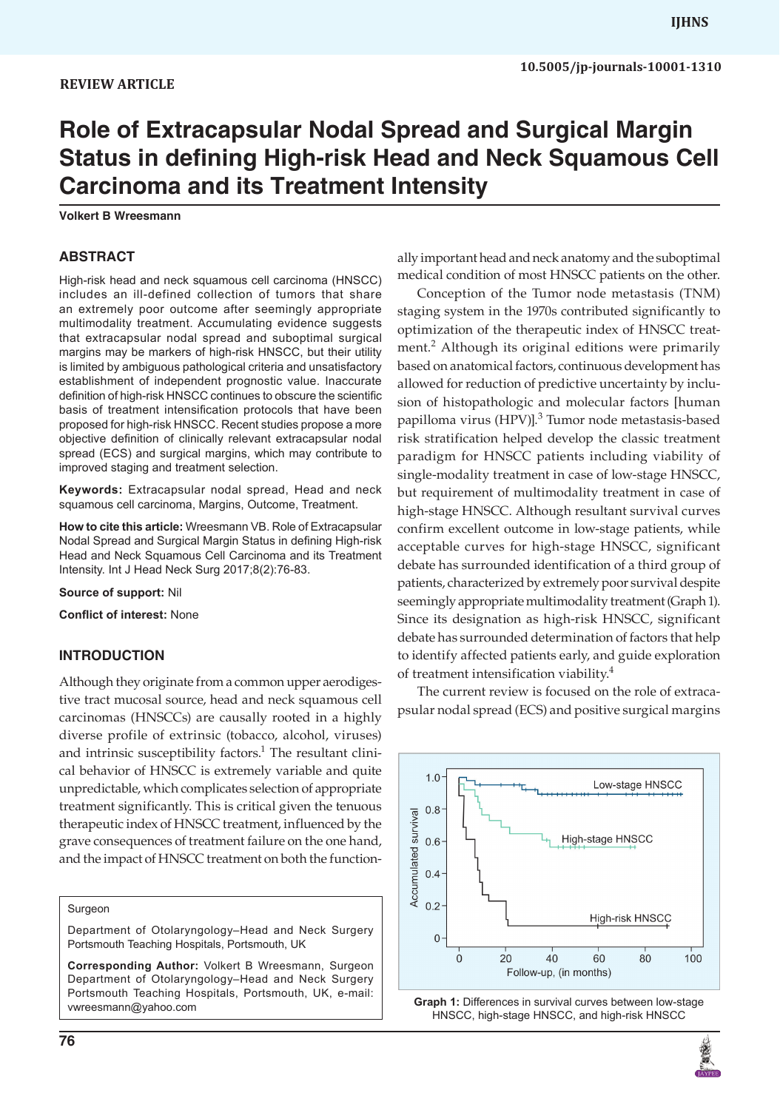# **Role of Extracapsular Nodal Spread and Surgical Margin Status in defining High-risk Head and Neck Squamous Cell Carcinoma and its Treatment Intensity**

**Volkert B Wreesmann**

#### **ABSTRACT**

High-risk head and neck squamous cell carcinoma (HNSCC) includes an ill-defined collection of tumors that share an extremely poor outcome after seemingly appropriate multimodality treatment. Accumulating evidence suggests that extracapsular nodal spread and suboptimal surgical margins may be markers of high-risk HNSCC, but their utility is limited by ambiguous pathological criteria and unsatisfactory establishment of independent prognostic value. Inaccurate definition of high-risk HNSCC continues to obscure the scientific basis of treatment intensification protocols that have been proposed for high-risk HNSCC. Recent studies propose a more objective definition of clinically relevant extracapsular nodal spread (ECS) and surgical margins, which may contribute to improved staging and treatment selection.

**Keywords:** Extracapsular nodal spread, Head and neck squamous cell carcinoma, Margins, Outcome, Treatment.

**How to cite this article:** Wreesmann VB. Role of Extracapsular Nodal Spread and Surgical Margin Status in defining High-risk Head and Neck Squamous Cell Carcinoma and its Treatment Intensity. Int J Head Neck Surg 2017;8(2):76-83.

**Source of support:** Nil

**Conflict of interest:** None

#### **INTRODUCTION**

Although they originate from a common upper aerodigestive tract mucosal source, head and neck squamous cell carcinomas (HNSCCs) are causally rooted in a highly diverse profile of extrinsic (tobacco, alcohol, viruses) and intrinsic susceptibility factors.<sup>1</sup> The resultant clinical behavior of HNSCC is extremely variable and quite unpredictable, which complicates selection of appropriate treatment significantly. This is critical given the tenuous therapeutic index of HNSCC treatment, influenced by the grave consequences of treatment failure on the one hand, and the impact of HNSCC treatment on both the function-

#### Surgeon

Department of Otolaryngology–Head and Neck Surgery Portsmouth Teaching Hospitals, Portsmouth, UK

**Corresponding Author:** Volkert B Wreesmann, Surgeon Department of Otolaryngology–Head and Neck Surgery Portsmouth Teaching Hospitals, Portsmouth, UK, e-mail: vwreesmann@yahoo.com

ally important head and neck anatomy and the suboptimal medical condition of most HNSCC patients on the other.

Conception of the Tumor node metastasis (TNM) staging system in the 1970s contributed significantly to optimization of the therapeutic index of HNSCC treatment.<sup>2</sup> Although its original editions were primarily based on anatomical factors, continuous development has allowed for reduction of predictive uncertainty by inclusion of histopathologic and molecular factors [human papilloma virus (HPV)].<sup>3</sup> Tumor node metastasis-based risk stratification helped develop the classic treatment paradigm for HNSCC patients including viability of single-modality treatment in case of low-stage HNSCC, but requirement of multimodality treatment in case of high-stage HNSCC. Although resultant survival curves confirm excellent outcome in low-stage patients, while acceptable curves for high-stage HNSCC, significant debate has surrounded identification of a third group of patients, characterized by extremely poor survival despite seemingly appropriate multimodality treatment (Graph 1). Since its designation as high-risk HNSCC, significant debate has surrounded determination of factors that help to identify affected patients early, and guide exploration of treatment intensification viability.4

The current review is focused on the role of extracapsular nodal spread (ECS) and positive surgical margins





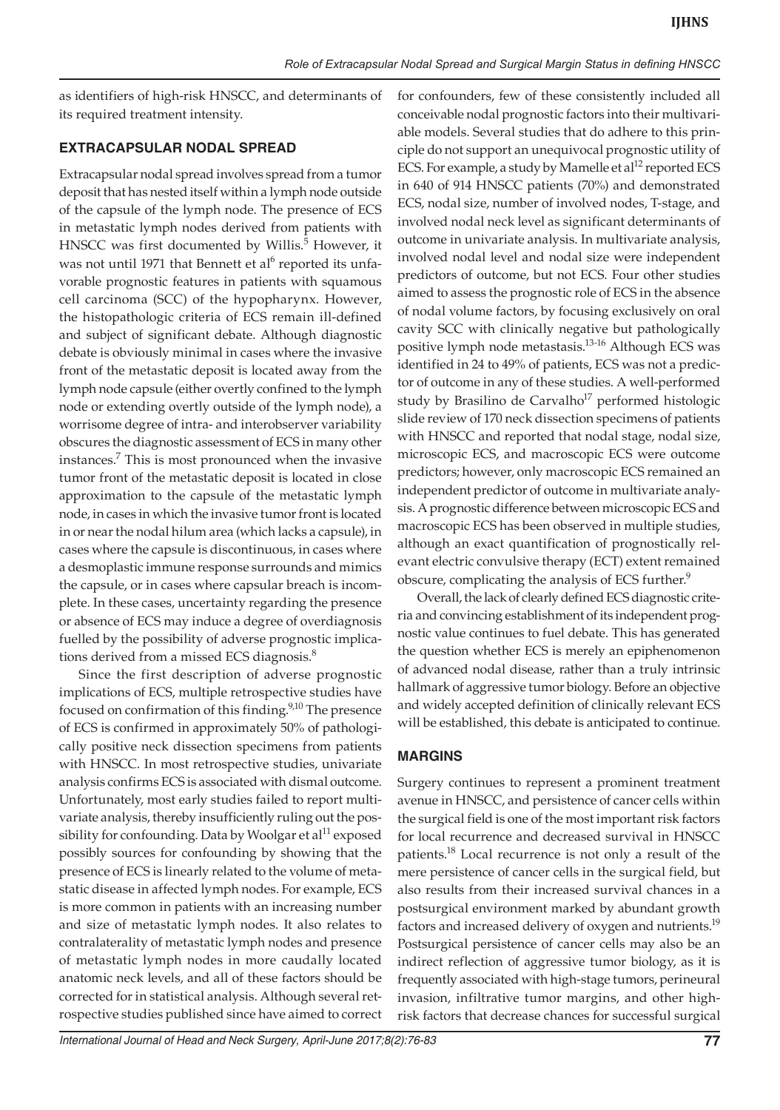as identifiers of high-risk HNSCC, and determinants of its required treatment intensity.

#### **EXTRACAPSULAR NODAL SPREAD**

Extracapsular nodal spread involves spread from a tumor deposit that has nested itself within a lymph node outside of the capsule of the lymph node. The presence of ECS in metastatic lymph nodes derived from patients with HNSCC was first documented by Willis.<sup>5</sup> However, it was not until 1971 that Bennett et al<sup>6</sup> reported its unfavorable prognostic features in patients with squamous cell carcinoma (SCC) of the hypopharynx. However, the histopathologic criteria of ECS remain ill-defined and subject of significant debate. Although diagnostic debate is obviously minimal in cases where the invasive front of the metastatic deposit is located away from the lymph node capsule (either overtly confined to the lymph node or extending overtly outside of the lymph node), a worrisome degree of intra- and interobserver variability obscures the diagnostic assessment of ECS in many other instances.<sup>7</sup> This is most pronounced when the invasive tumor front of the metastatic deposit is located in close approximation to the capsule of the metastatic lymph node, in cases in which the invasive tumor front is located in or near the nodal hilum area (which lacks a capsule), in cases where the capsule is discontinuous, in cases where a desmoplastic immune response surrounds and mimics the capsule, or in cases where capsular breach is incomplete. In these cases, uncertainty regarding the presence or absence of ECS may induce a degree of overdiagnosis fuelled by the possibility of adverse prognostic implications derived from a missed ECS diagnosis.<sup>8</sup>

Since the first description of adverse prognostic implications of ECS, multiple retrospective studies have focused on confirmation of this finding.<sup>9,10</sup> The presence of ECS is confirmed in approximately 50% of pathologically positive neck dissection specimens from patients with HNSCC. In most retrospective studies, univariate analysis confirms ECS is associated with dismal outcome. Unfortunately, most early studies failed to report multivariate analysis, thereby insufficiently ruling out the possibility for confounding. Data by Woolgar et al<sup>11</sup> exposed possibly sources for confounding by showing that the presence of ECS is linearly related to the volume of metastatic disease in affected lymph nodes. For example, ECS is more common in patients with an increasing number and size of metastatic lymph nodes. It also relates to contralaterality of metastatic lymph nodes and presence of metastatic lymph nodes in more caudally located anatomic neck levels, and all of these factors should be corrected for in statistical analysis. Although several retrospective studies published since have aimed to correct

for confounders, few of these consistently included all conceivable nodal prognostic factors into their multivariable models. Several studies that do adhere to this principle do not support an unequivocal prognostic utility of ECS. For example, a study by Mamelle et al $^{12}$  reported ECS in 640 of 914 HNSCC patients (70%) and demonstrated ECS, nodal size, number of involved nodes, T-stage, and involved nodal neck level as significant determinants of outcome in univariate analysis. In multivariate analysis, involved nodal level and nodal size were independent predictors of outcome, but not ECS. Four other studies aimed to assess the prognostic role of ECS in the absence of nodal volume factors, by focusing exclusively on oral cavity SCC with clinically negative but pathologically positive lymph node metastasis.<sup>13-16</sup> Although ECS was identified in 24 to 49% of patients, ECS was not a predictor of outcome in any of these studies. A well-performed study by Brasilino de Carvalho<sup>17</sup> performed histologic slide review of 170 neck dissection specimens of patients with HNSCC and reported that nodal stage, nodal size, microscopic ECS, and macroscopic ECS were outcome predictors; however, only macroscopic ECS remained an independent predictor of outcome in multivariate analysis. A prognostic difference between microscopic ECS and macroscopic ECS has been observed in multiple studies, although an exact quantification of prognostically relevant electric convulsive therapy (ECT) extent remained obscure, complicating the analysis of ECS further.<sup>9</sup>

Overall, the lack of clearly defined ECS diagnostic criteria and convincing establishment of its independent prognostic value continues to fuel debate. This has generated the question whether ECS is merely an epiphenomenon of advanced nodal disease, rather than a truly intrinsic hallmark of aggressive tumor biology. Before an objective and widely accepted definition of clinically relevant ECS will be established, this debate is anticipated to continue.

# **MARGINS**

Surgery continues to represent a prominent treatment avenue in HNSCC, and persistence of cancer cells within the surgical field is one of the most important risk factors for local recurrence and decreased survival in HNSCC patients.<sup>18</sup> Local recurrence is not only a result of the mere persistence of cancer cells in the surgical field, but also results from their increased survival chances in a postsurgical environment marked by abundant growth factors and increased delivery of oxygen and nutrients.<sup>19</sup> Postsurgical persistence of cancer cells may also be an indirect reflection of aggressive tumor biology, as it is frequently associated with high-stage tumors, perineural invasion, infiltrative tumor margins, and other highrisk factors that decrease chances for successful surgical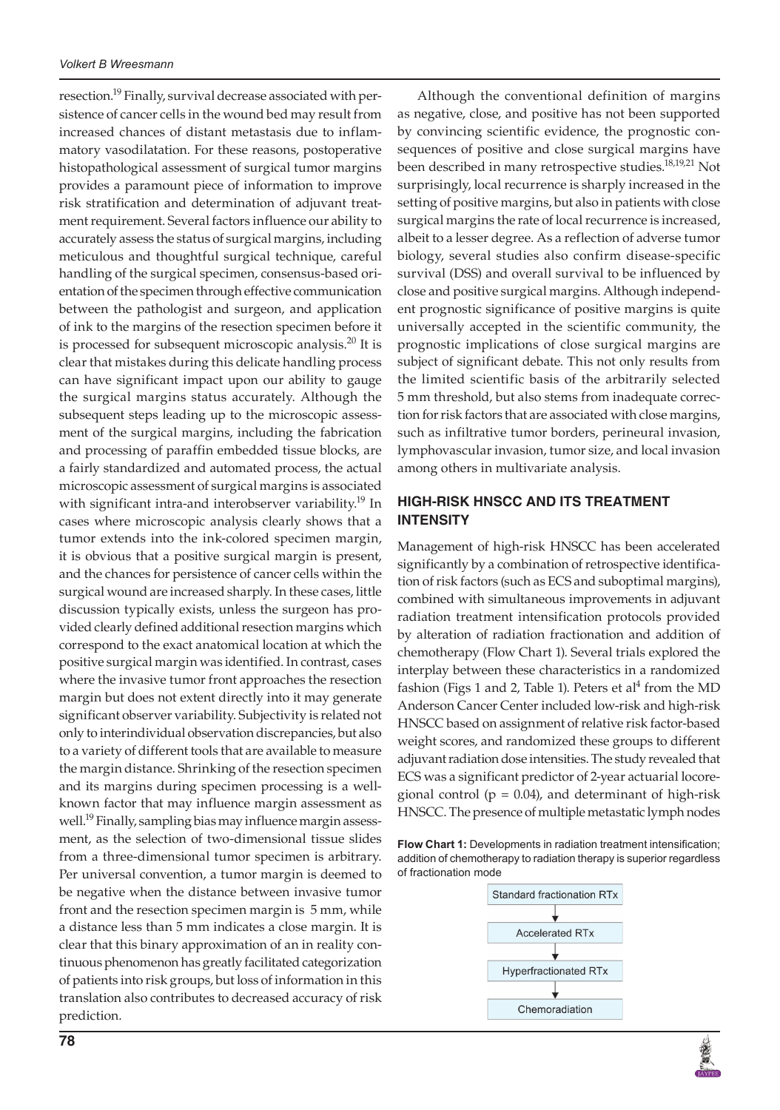resection.<sup>19</sup> Finally, survival decrease associated with persistence of cancer cells in the wound bed may result from increased chances of distant metastasis due to inflammatory vasodilatation. For these reasons, postoperative histopathological assessment of surgical tumor margins provides a paramount piece of information to improve risk stratification and determination of adjuvant treatment requirement. Several factors influence our ability to accurately assess the status of surgical margins, including meticulous and thoughtful surgical technique, careful handling of the surgical specimen, consensus-based orientation of the specimen through effective communication between the pathologist and surgeon, and application of ink to the margins of the resection specimen before it is processed for subsequent microscopic analysis.20 It is clear that mistakes during this delicate handling process can have significant impact upon our ability to gauge the surgical margins status accurately. Although the subsequent steps leading up to the microscopic assessment of the surgical margins, including the fabrication and processing of paraffin embedded tissue blocks, are a fairly standardized and automated process, the actual microscopic assessment of surgical margins is associated with significant intra-and interobserver variability.<sup>19</sup> In cases where microscopic analysis clearly shows that a tumor extends into the ink-colored specimen margin, it is obvious that a positive surgical margin is present, and the chances for persistence of cancer cells within the surgical wound are increased sharply. In these cases, little discussion typically exists, unless the surgeon has provided clearly defined additional resection margins which correspond to the exact anatomical location at which the positive surgical margin was identified. In contrast, cases where the invasive tumor front approaches the resection margin but does not extent directly into it may generate significant observer variability. Subjectivity is related not only to interindividual observation discrepancies, but also to a variety of different tools that are available to measure the margin distance. Shrinking of the resection specimen and its margins during specimen processing is a wellknown factor that may influence margin assessment as well.<sup>19</sup> Finally, sampling bias may influence margin assessment, as the selection of two-dimensional tissue slides from a three-dimensional tumor specimen is arbitrary. Per universal convention, a tumor margin is deemed to be negative when the distance between invasive tumor front and the resection specimen margin is 5 mm, while a distance less than 5 mm indicates a close margin. It is clear that this binary approximation of an in reality continuous phenomenon has greatly facilitated categorization of patients into risk groups, but loss of information in this translation also contributes to decreased accuracy of risk prediction.

Although the conventional definition of margins as negative, close, and positive has not been supported by convincing scientific evidence, the prognostic consequences of positive and close surgical margins have been described in many retrospective studies.<sup>18,19,21</sup> Not surprisingly, local recurrence is sharply increased in the setting of positive margins, but also in patients with close surgical margins the rate of local recurrence is increased, albeit to a lesser degree. As a reflection of adverse tumor biology, several studies also confirm disease-specific survival (DSS) and overall survival to be influenced by close and positive surgical margins. Although independent prognostic significance of positive margins is quite universally accepted in the scientific community, the prognostic implications of close surgical margins are subject of significant debate. This not only results from the limited scientific basis of the arbitrarily selected 5 mm threshold, but also stems from inadequate correction for risk factors that are associated with close margins, such as infiltrative tumor borders, perineural invasion, lymphovascular invasion, tumor size, and local invasion among others in multivariate analysis.

## **HIGH-RISK HNSCC AND ITS TREATMENT INTENSITY**

Management of high-risk HNSCC has been accelerated significantly by a combination of retrospective identification of risk factors (such as ECS and suboptimal margins), combined with simultaneous improvements in adjuvant radiation treatment intensification protocols provided by alteration of radiation fractionation and addition of chemotherapy (Flow Chart 1). Several trials explored the interplay between these characteristics in a randomized fashion (Figs 1 and 2, Table 1). Peters et al<sup>4</sup> from the MD Anderson Cancer Center included low-risk and high-risk HNSCC based on assignment of relative risk factor-based weight scores, and randomized these groups to different adjuvant radiation dose intensities. The study revealed that ECS was a significant predictor of 2-year actuarial locoregional control ( $p = 0.04$ ), and determinant of high-risk HNSCC. The presence of multiple metastatic lymph nodes





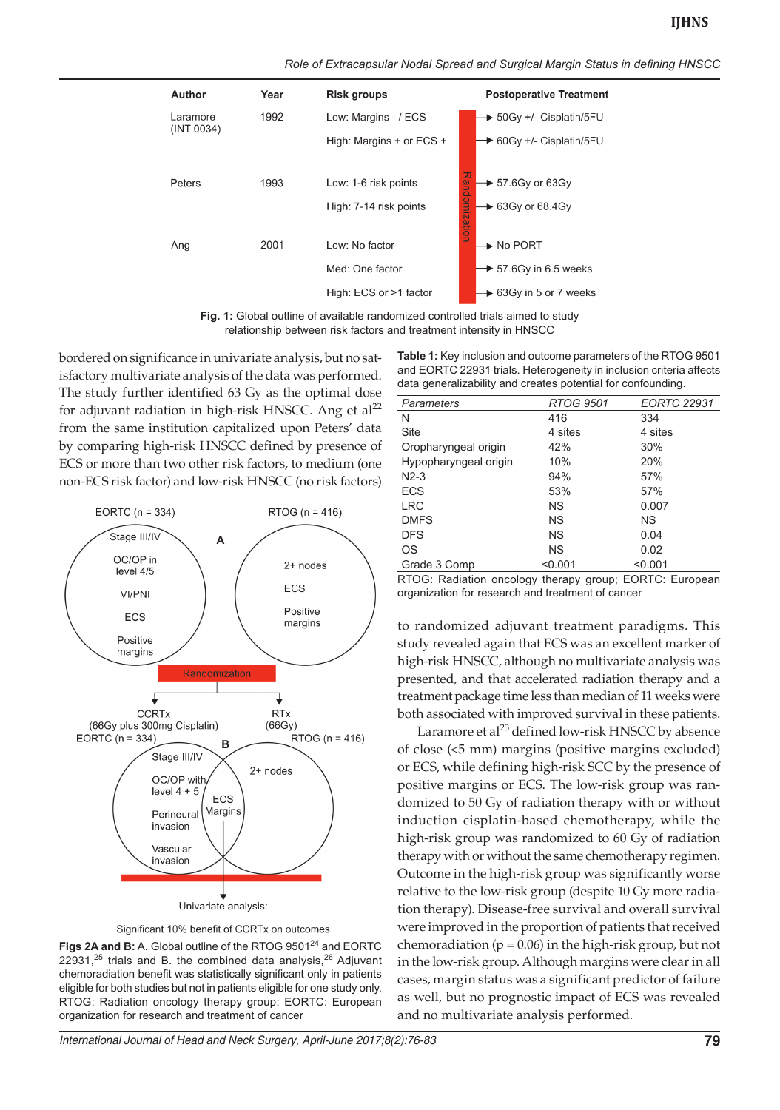*Role of Extracapsular Nodal Spread and Surgical Margin Status in defining HNSCC* 

| Author                 | Year | <b>Risk groups</b>       | <b>Postoperative Treatment</b>                          |
|------------------------|------|--------------------------|---------------------------------------------------------|
| Laramore<br>(INT 0034) | 1992 | Low: Margins - / ECS -   | → 50Gy +/- Cisplatin/5FU                                |
|                        |      | High: Margins + or ECS + | → 60Gy +/- Cisplatin/5FU                                |
|                        |      |                          |                                                         |
| Peters                 | 1993 | Low: 1-6 risk points     | Randomi<br>$\rightarrow$ 57.6Gy or 63Gy                 |
|                        |      | High: 7-14 risk points   | $\rightarrow$ 63Gy or 68.4Gy<br>$\overline{\mathsf{N}}$ |
|                        |      |                          | uoile:                                                  |
| Ang                    | 2001 | Low: No factor           | $\blacktriangleright$ No PORT                           |
|                        |      | Med: One factor          | $\blacktriangleright$ 57.6Gy in 6.5 weeks               |
|                        |      | High: ECS or >1 factor   | $\rightarrow$ 63Gy in 5 or 7 weeks                      |

**Fig. 1:** Global outline of available randomized controlled trials aimed to study relationship between risk factors and treatment intensity in HNSCC

bordered on significance in univariate analysis, but no satisfactory multivariate analysis of the data was performed. The study further identified 63 Gy as the optimal dose for adjuvant radiation in high-risk HNSCC. Ang et al<sup>22</sup> from the same institution capitalized upon Peters' data by comparing high-risk HNSCC defined by presence of ECS or more than two other risk factors, to medium (one non-ECS risk factor) and low-risk HNSCC (no risk factors)





Figs 2A and B: A. Global outline of the RTOG 9501<sup>24</sup> and EORTC  $22931$ ,<sup>25</sup> trials and B. the combined data analysis,<sup>26</sup> Adjuvant chemoradiation benefit was statistically significant only in patients eligible for both studies but not in patients eligible for one study only. RTOG: Radiation oncology therapy group; EORTC: European organization for research and treatment of cancer

**Table 1:** Key inclusion and outcome parameters of the RTOG 9501 and EORTC 22931 trials. Heterogeneity in inclusion criteria affects data generalizability and creates potential for confounding.

| Parameters            | <b>RTOG 9501</b> | <b>EORTC 22931</b> |
|-----------------------|------------------|--------------------|
| N                     | 416              | 334                |
| Site                  | 4 sites          | 4 sites            |
| Oropharyngeal origin  | 42%              | 30%                |
| Hypopharyngeal origin | 10%              | 20%                |
| $N2-3$                | 94%              | 57%                |
| <b>ECS</b>            | 53%              | 57%                |
| <b>LRC</b>            | ΝS               | 0.007              |
| <b>DMFS</b>           | ΝS               | <b>NS</b>          |
| <b>DFS</b>            | ΝS               | 0.04               |
| OS                    | ΝS               | 0.02               |
| Grade 3 Comp          | < 0.001          | < 0.001            |
|                       |                  |                    |

RTOG: Radiation oncology therapy group; EORTC: European organization for research and treatment of cancer

to randomized adjuvant treatment paradigms. This study revealed again that ECS was an excellent marker of high-risk HNSCC, although no multivariate analysis was presented, and that accelerated radiation therapy and a treatment package time less than median of 11 weeks were both associated with improved survival in these patients.

Laramore et al<sup>23</sup> defined low-risk HNSCC by absence of close (<5 mm) margins (positive margins excluded) or ECS, while defining high-risk SCC by the presence of positive margins or ECS. The low-risk group was randomized to 50 Gy of radiation therapy with or without induction cisplatin-based chemotherapy, while the high-risk group was randomized to 60 Gy of radiation therapy with or without the same chemotherapy regimen. Outcome in the high-risk group was significantly worse relative to the low-risk group (despite 10 Gy more radiation therapy). Disease-free survival and overall survival were improved in the proportion of patients that received chemoradiation ( $p = 0.06$ ) in the high-risk group, but not in the low-risk group. Although margins were clear in all cases, margin status was a significant predictor of failure as well, but no prognostic impact of ECS was revealed and no multivariate analysis performed.

*International Journal of Head and Neck Surgery, April-June 2017;8(2):76-83* **79**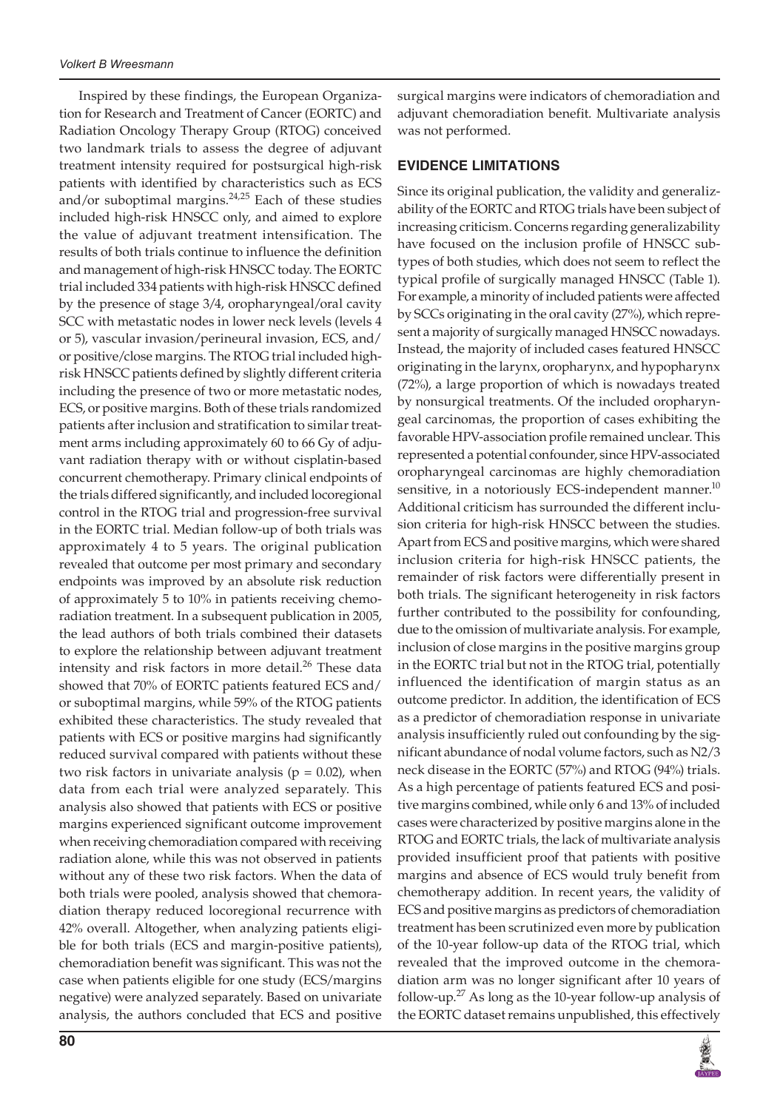Inspired by these findings, the European Organization for Research and Treatment of Cancer (EORTC) and Radiation Oncology Therapy Group (RTOG) conceived two landmark trials to assess the degree of adjuvant treatment intensity required for postsurgical high-risk patients with identified by characteristics such as ECS and/or suboptimal margins. $24,25$  Each of these studies included high-risk HNSCC only, and aimed to explore the value of adjuvant treatment intensification. The results of both trials continue to influence the definition and management of high-risk HNSCC today. The EORTC trial included 334 patients with high-risk HNSCC defined by the presence of stage 3/4, oropharyngeal/oral cavity SCC with metastatic nodes in lower neck levels (levels 4 or 5), vascular invasion/perineural invasion, ECS, and/ or positive/close margins. The RTOG trial included highrisk HNSCC patients defined by slightly different criteria including the presence of two or more metastatic nodes, ECS, or positive margins. Both of these trials randomized patients after inclusion and stratification to similar treatment arms including approximately 60 to 66 Gy of adjuvant radiation therapy with or without cisplatin-based concurrent chemotherapy. Primary clinical endpoints of the trials differed significantly, and included locoregional control in the RTOG trial and progression-free survival in the EORTC trial. Median follow-up of both trials was approximately 4 to 5 years. The original publication revealed that outcome per most primary and secondary endpoints was improved by an absolute risk reduction of approximately 5 to 10% in patients receiving chemoradiation treatment. In a subsequent publication in 2005, the lead authors of both trials combined their datasets to explore the relationship between adjuvant treatment intensity and risk factors in more detail. $^{26}$  These data showed that 70% of EORTC patients featured ECS and/ or suboptimal margins, while 59% of the RTOG patients exhibited these characteristics. The study revealed that patients with ECS or positive margins had significantly reduced survival compared with patients without these two risk factors in univariate analysis ( $p = 0.02$ ), when data from each trial were analyzed separately. This analysis also showed that patients with ECS or positive margins experienced significant outcome improvement when receiving chemoradiation compared with receiving radiation alone, while this was not observed in patients without any of these two risk factors. When the data of both trials were pooled, analysis showed that chemoradiation therapy reduced locoregional recurrence with 42% overall. Altogether, when analyzing patients eligible for both trials (ECS and margin-positive patients), chemoradiation benefit was significant. This was not the case when patients eligible for one study (ECS/margins negative) were analyzed separately. Based on univariate analysis, the authors concluded that ECS and positive

surgical margins were indicators of chemoradiation and adjuvant chemoradiation benefit. Multivariate analysis was not performed.

# **EVIDENCE LIMITATIONS**

Since its original publication, the validity and generalizability of the EORTC and RTOG trials have been subject of increasing criticism. Concerns regarding generalizability have focused on the inclusion profile of HNSCC subtypes of both studies, which does not seem to reflect the typical profile of surgically managed HNSCC (Table 1). For example, a minority of included patients were affected by SCCs originating in the oral cavity (27%), which represent a majority of surgically managed HNSCC nowadays. Instead, the majority of included cases featured HNSCC originating in the larynx, oropharynx, and hypopharynx (72%), a large proportion of which is nowadays treated by nonsurgical treatments. Of the included oropharyngeal carcinomas, the proportion of cases exhibiting the favorable HPV-association profile remained unclear. This represented a potential confounder, since HPV-associated oropharyngeal carcinomas are highly chemoradiation sensitive, in a notoriously ECS-independent manner. $^{10}$ Additional criticism has surrounded the different inclusion criteria for high-risk HNSCC between the studies. Apart from ECS and positive margins, which were shared inclusion criteria for high-risk HNSCC patients, the remainder of risk factors were differentially present in both trials. The significant heterogeneity in risk factors further contributed to the possibility for confounding, due to the omission of multivariate analysis. For example, inclusion of close margins in the positive margins group in the EORTC trial but not in the RTOG trial, potentially influenced the identification of margin status as an outcome predictor. In addition, the identification of ECS as a predictor of chemoradiation response in univariate analysis insufficiently ruled out confounding by the significant abundance of nodal volume factors, such as N2/3 neck disease in the EORTC (57%) and RTOG (94%) trials. As a high percentage of patients featured ECS and positive margins combined, while only 6 and 13% of included cases were characterized by positive margins alone in the RTOG and EORTC trials, the lack of multivariate analysis provided insufficient proof that patients with positive margins and absence of ECS would truly benefit from chemotherapy addition. In recent years, the validity of ECS and positive margins as predictors of chemoradiation treatment has been scrutinized even more by publication of the 10-year follow-up data of the RTOG trial, which revealed that the improved outcome in the chemoradiation arm was no longer significant after 10 years of follow-up.<sup>27</sup> As long as the 10-year follow-up analysis of the EORTC dataset remains unpublished, this effectively

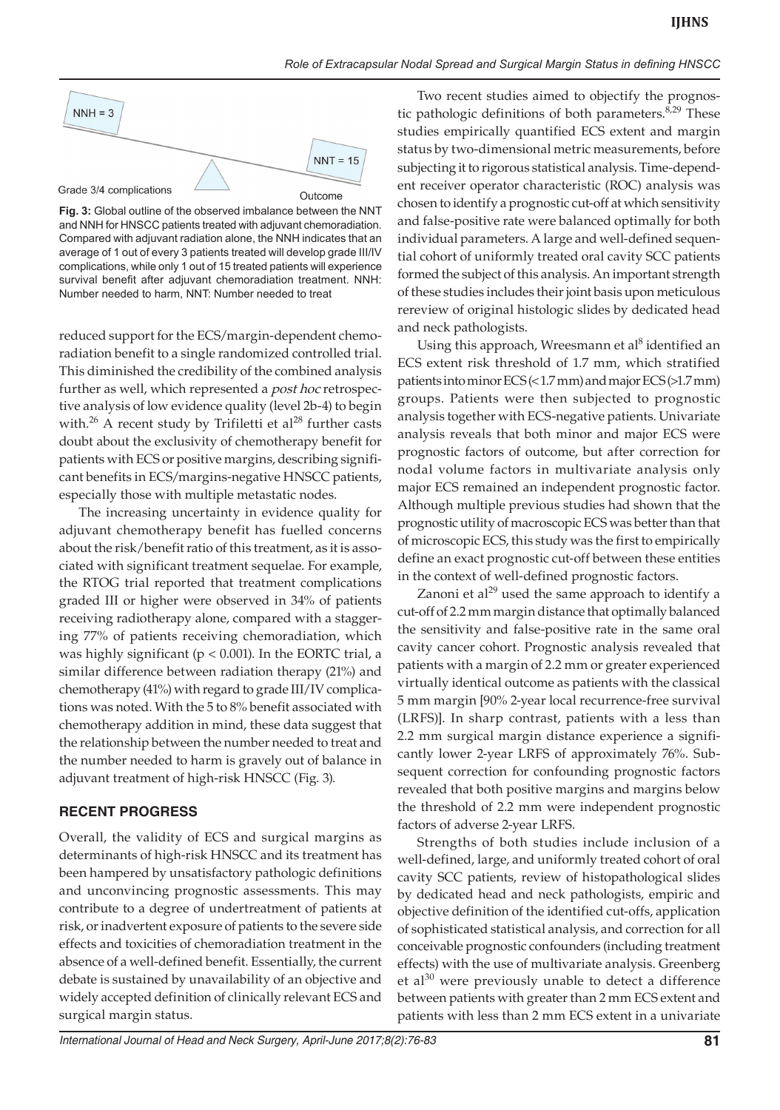

**Fig. 3:** Global outline of the observed imbalance between the NNT and NNH for HNSCC patients treated with adjuvant chemoradiation. Compared with adjuvant radiation alone, the NNH indicates that an average of 1 out of every 3 patients treated will develop grade III/IV complications, while only 1 out of 15 treated patients will experience survival benefit after adjuvant chemoradiation treatment. NNH: Number needed to harm, NNT: Number needed to treat

reduced support for the ECS/margin-dependent chemoradiation benefit to a single randomized controlled trial. This diminished the credibility of the combined analysis further as well, which represented a *post hoc* retrospective analysis of low evidence quality (level 2b-4) to begin with.<sup>26</sup> A recent study by Trifiletti et al<sup>28</sup> further casts doubt about the exclusivity of chemotherapy benefit for patients with ECS or positive margins, describing significant benefits in ECS/margins-negative HNSCC patients, especially those with multiple metastatic nodes.

The increasing uncertainty in evidence quality for adjuvant chemotherapy benefit has fuelled concerns about the risk/benefit ratio of this treatment, as it is associated with significant treatment sequelae. For example, the RTOG trial reported that treatment complications graded III or higher were observed in 34% of patients receiving radiotherapy alone, compared with a staggering 77% of patients receiving chemoradiation, which was highly significant ( $p < 0.001$ ). In the EORTC trial, a similar difference between radiation therapy (21%) and chemotherapy (41%) with regard to grade III/IV complications was noted. With the 5 to 8% benefit associated with chemotherapy addition in mind, these data suggest that the relationship between the number needed to treat and the number needed to harm is gravely out of balance in adjuvant treatment of high-risk HNSCC (Fig. 3).

#### **RECENT PROGRESS**

Overall, the validity of ECS and surgical margins as determinants of high-risk HNSCC and its treatment has been hampered by unsatisfactory pathologic definitions and unconvincing prognostic assessments. This may contribute to a degree of undertreatment of patients at risk, or inadvertent exposure of patients to the severe side effects and toxicities of chemoradiation treatment in the absence of a well-defined benefit. Essentially, the current debate is sustained by unavailability of an objective and widely accepted definition of clinically relevant ECS and surgical margin status.

Two recent studies aimed to objectify the prognostic pathologic definitions of both parameters. $8,29$  These studies empirically quantified ECS extent and margin status by two-dimensional metric measurements, before subjecting it to rigorous statistical analysis. Time-dependent receiver operator characteristic (ROC) analysis was chosen to identify a prognostic cut-off at which sensitivity and false-positive rate were balanced optimally for both individual parameters. A large and well-defined sequential cohort of uniformly treated oral cavity SCC patients formed the subject of this analysis. An important strength of these studies includes their joint basis upon meticulous rereview of original histologic slides by dedicated head and neck pathologists.

Using this approach, Wreesmann et al<sup>8</sup> identified an ECS extent risk threshold of 1.7 mm, which stratified patients into minor ECS (<1.7 mm) and major ECS (>1.7 mm) groups. Patients were then subjected to prognostic analysis together with ECS-negative patients. Univariate analysis reveals that both minor and major ECS were prognostic factors of outcome, but after correction for nodal volume factors in multivariate analysis only major ECS remained an independent prognostic factor. Although multiple previous studies had shown that the prognostic utility of macroscopic ECS was better than that of microscopic ECS, this study was the first to empirically define an exact prognostic cut-off between these entities in the context of well-defined prognostic factors.

Zanoni et  $al^{29}$  used the same approach to identify a cut-off of 2.2 mm margin distance that optimally balanced the sensitivity and false-positive rate in the same oral cavity cancer cohort. Prognostic analysis revealed that patients with a margin of 2.2 mm or greater experienced virtually identical outcome as patients with the classical 5 mm margin [90% 2-year local recurrence-free survival (LRFS)]. In sharp contrast, patients with a less than 2.2 mm surgical margin distance experience a significantly lower 2-year LRFS of approximately 76%. Subsequent correction for confounding prognostic factors revealed that both positive margins and margins below the threshold of 2.2 mm were independent prognostic factors of adverse 2-year LRFS.

Strengths of both studies include inclusion of a well-defined, large, and uniformly treated cohort of oral cavity SCC patients, review of histopathological slides by dedicated head and neck pathologists, empiric and objective definition of the identified cut-offs, application of sophisticated statistical analysis, and correction for all conceivable prognostic confounders (including treatment effects) with the use of multivariate analysis. Greenberg et al $^{30}$  were previously unable to detect a difference between patients with greater than 2 mm ECS extent and patients with less than 2 mm ECS extent in a univariate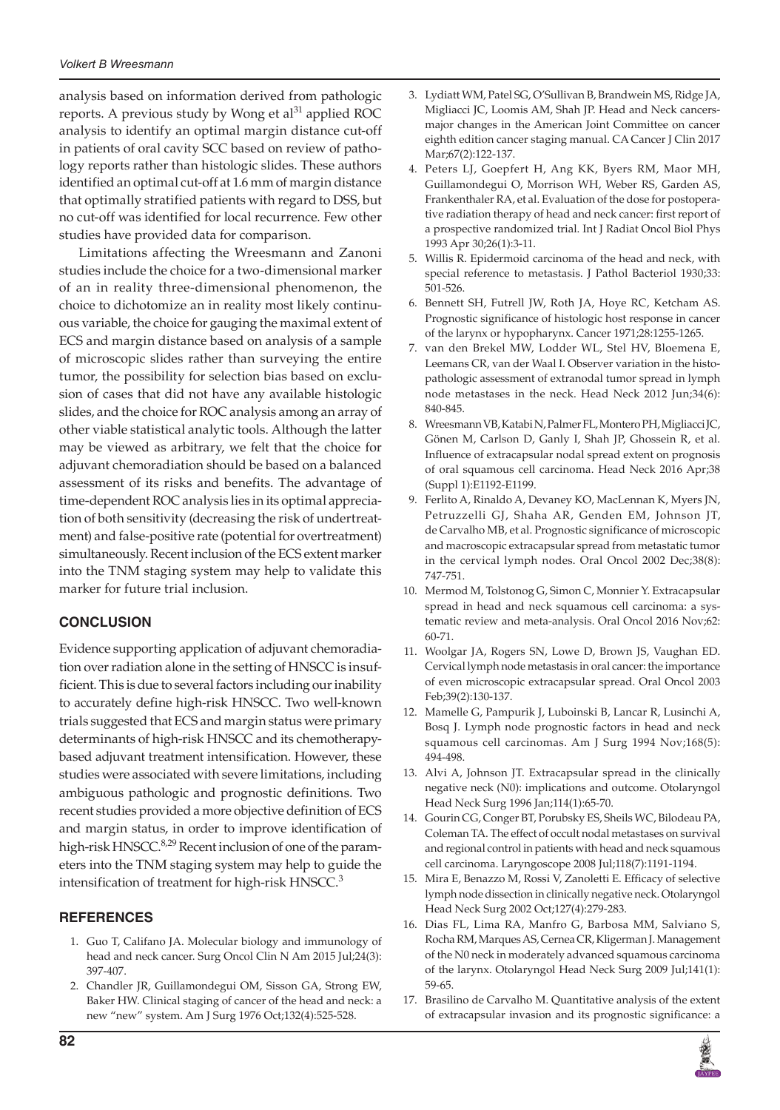analysis based on information derived from pathologic reports. A previous study by Wong et al<sup>31</sup> applied ROC analysis to identify an optimal margin distance cut-off in patients of oral cavity SCC based on review of pathology reports rather than histologic slides. These authors identified an optimal cut-off at 1.6 mm of margin distance that optimally stratified patients with regard to DSS, but no cut-off was identified for local recurrence. Few other studies have provided data for comparison.

Limitations affecting the Wreesmann and Zanoni studies include the choice for a two-dimensional marker of an in reality three-dimensional phenomenon, the choice to dichotomize an in reality most likely continuous variable, the choice for gauging the maximal extent of ECS and margin distance based on analysis of a sample of microscopic slides rather than surveying the entire tumor, the possibility for selection bias based on exclusion of cases that did not have any available histologic slides, and the choice for ROC analysis among an array of other viable statistical analytic tools. Although the latter may be viewed as arbitrary, we felt that the choice for adjuvant chemoradiation should be based on a balanced assessment of its risks and benefits. The advantage of time-dependent ROC analysis lies in its optimal appreciation of both sensitivity (decreasing the risk of undertreatment) and false-positive rate (potential for overtreatment) simultaneously. Recent inclusion of the ECS extent marker into the TNM staging system may help to validate this marker for future trial inclusion.

## **CONCLUSION**

Evidence supporting application of adjuvant chemoradiation over radiation alone in the setting of HNSCC is insufficient. This is due to several factors including our inability to accurately define high-risk HNSCC. Two well-known trials suggested that ECS and margin status were primary determinants of high-risk HNSCC and its chemotherapybased adjuvant treatment intensification. However, these studies were associated with severe limitations, including ambiguous pathologic and prognostic definitions. Two recent studies provided a more objective definition of ECS and margin status, in order to improve identification of high-risk HNSCC.<sup>8,29</sup> Recent inclusion of one of the parameters into the TNM staging system may help to guide the intensification of treatment for high-risk HNSCC. $3$ 

## **REFERENCES**

- 1. Guo T, Califano JA. Molecular biology and immunology of head and neck cancer. Surg Oncol Clin N Am 2015 Jul;24(3): 397-407.
- 2. Chandler JR, Guillamondegui OM, Sisson GA, Strong EW, Baker HW. Clinical staging of cancer of the head and neck: a new "new" system. Am J Surg 1976 Oct;132(4):525-528.
- 3. Lydiatt WM, Patel SG, O'Sullivan B, Brandwein MS, Ridge JA, Migliacci JC, Loomis AM, Shah JP. Head and Neck cancersmajor changes in the American Joint Committee on cancer eighth edition cancer staging manual. CA Cancer J Clin 2017 Mar;67(2):122-137.
- Peters LJ, Goepfert H, Ang KK, Byers RM, Maor MH, Guillamondegui O, Morrison WH, Weber RS, Garden AS, Frankenthaler RA, et al. Evaluation of the dose for postoperative radiation therapy of head and neck cancer: first report of a prospective randomized trial. Int J Radiat Oncol Biol Phys 1993 Apr 30;26(1):3-11.
- 5. Willis R. Epidermoid carcinoma of the head and neck, with special reference to metastasis. J Pathol Bacteriol 1930;33: 501-526.
- 6. Bennett SH, Futrell JW, Roth JA, Hoye RC, Ketcham AS. Prognostic significance of histologic host response in cancer of the larynx or hypopharynx. Cancer 1971;28:1255-1265.
- 7. van den Brekel MW, Lodder WL, Stel HV, Bloemena E, Leemans CR, van der Waal I. Observer variation in the histopathologic assessment of extranodal tumor spread in lymph node metastases in the neck. Head Neck 2012 Jun;34(6): 840-845.
- 8. Wreesmann VB, Katabi N, Palmer FL, Montero PH, Migliacci JC, Gönen M, Carlson D, Ganly I, Shah JP, Ghossein R, et al. Influence of extracapsular nodal spread extent on prognosis of oral squamous cell carcinoma. Head Neck 2016 Apr;38 (Suppl 1):E1192-E1199.
- 9. Ferlito A, Rinaldo A, Devaney KO, MacLennan K, Myers JN, Petruzzelli GJ, Shaha AR, Genden EM, Johnson JT, de Carvalho MB, et al. Prognostic significance of microscopic and macroscopic extracapsular spread from metastatic tumor in the cervical lymph nodes. Oral Oncol 2002 Dec;38(8): 747-751.
- 10. Mermod M, Tolstonog G, Simon C, Monnier Y. Extracapsular spread in head and neck squamous cell carcinoma: a systematic review and meta-analysis. Oral Oncol 2016 Nov;62: 60-71.
- 11. Woolgar JA, Rogers SN, Lowe D, Brown JS, Vaughan ED. Cervical lymph node metastasis in oral cancer: the importance of even microscopic extracapsular spread. Oral Oncol 2003 Feb;39(2):130-137.
- 12. Mamelle G, Pampurik J, Luboinski B, Lancar R, Lusinchi A, Bosq J. Lymph node prognostic factors in head and neck squamous cell carcinomas. Am J Surg 1994 Nov;168(5): 494-498.
- 13. Alvi A, Johnson JT. Extracapsular spread in the clinically negative neck (N0): implications and outcome. Otolaryngol Head Neck Surg 1996 Jan;114(1):65-70.
- 14. Gourin CG, Conger BT, Porubsky ES, Sheils WC, Bilodeau PA, Coleman TA. The effect of occult nodal metastases on survival and regional control in patients with head and neck squamous cell carcinoma. Laryngoscope 2008 Jul;118(7):1191-1194.
- 15. Mira E, Benazzo M, Rossi V, Zanoletti E. Efficacy of selective lymph node dissection in clinically negative neck. Otolaryngol Head Neck Surg 2002 Oct;127(4):279-283.
- 16. Dias FL, Lima RA, Manfro G, Barbosa MM, Salviano S, Rocha RM, Marques AS, Cernea CR, Kligerman J. Management of the N0 neck in moderately advanced squamous carcinoma of the larynx. Otolaryngol Head Neck Surg 2009 Jul;141(1): 59-65.
- 17. Brasilino de Carvalho M. Quantitative analysis of the extent of extracapsular invasion and its prognostic significance: a